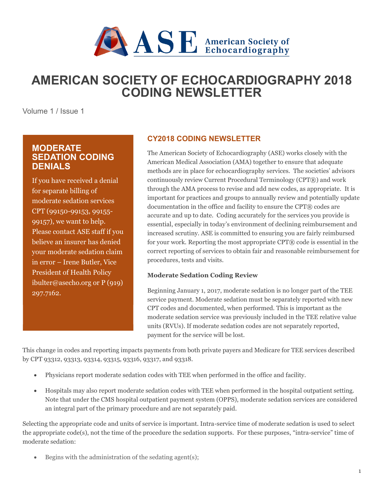

# **AMERICAN SOCIETY OF ECHOCARDIOGRAPHY 2018 CODING NEWSLETTER**

Volume 1 / Issue 1

# **MODERATE SEDATION CODING DENIALS**

If you have received a denial for separate billing of moderate sedation services CPT (99150-99153, 99155- 99157), we want to help. Please contact ASE staff if you believe an insurer has denied your moderate sedation claim in error – Irene Butler, Vice President of Health Policy ibulter@asecho.org or P (919) 297.7162.

# **CY2018 CODING NEWSLETTER**

The American Society of Echocardiography (ASE) works closely with the American Medical Association (AMA) together to ensure that adequate methods are in place for echocardiography services. The societies' advisors continuously review Current Procedural Terminology (CPT®) and work through the AMA process to revise and add new codes, as appropriate. It is important for practices and groups to annually review and potentially update documentation in the office and facility to ensure the CPT® codes are accurate and up to date. Coding accurately for the services you provide is essential, especially in today's environment of declining reimbursement and increased scrutiny. ASE is committed to ensuring you are fairly reimbursed for your work. Reporting the most appropriate CPT® code is essential in the correct reporting of services to obtain fair and reasonable reimbursement for procedures, tests and visits.

## **Moderate Sedation Coding Review**

Beginning January 1, 2017, moderate sedation is no longer part of the TEE service payment. Moderate sedation must be separately reported with new CPT codes and documented, when performed. This is important as the moderate sedation service was previously included in the TEE relative value units (RVUs). If moderate sedation codes are not separately reported, payment for the service will be lost.

This change in codes and reporting impacts payments from both private payers and Medicare for TEE services described by CPT 93312, 93313, 93314, 93315, 93316, 93317, and 93318.

- Physicians report moderate sedation codes with TEE when performed in the office and facility.
- Hospitals may also report moderate sedation codes with TEE when performed in the hospital outpatient setting. Note that under the CMS hospital outpatient payment system (OPPS), moderate sedation services are considered an integral part of the primary procedure and are not separately paid.

Selecting the appropriate code and units of service is important. Intra-service time of moderate sedation is used to select the appropriate code(s), not the time of the procedure the sedation supports. For these purposes, "intra-service" time of moderate sedation:

Begins with the administration of the sedating agent(s);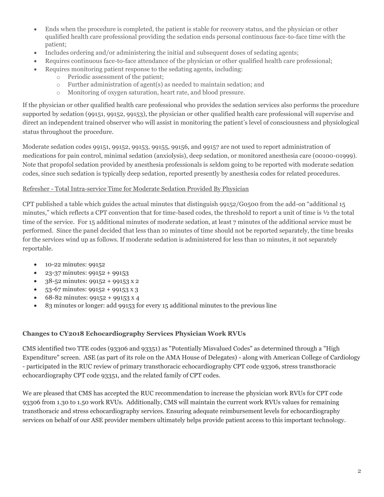- Ends when the procedure is completed, the patient is stable for recovery status, and the physician or other qualified health care professional providing the sedation ends personal continuous face-to-face time with the patient;
- Includes ordering and/or administering the initial and subsequent doses of sedating agents;
- Requires continuous face-to-face attendance of the physician or other qualified health care professional;
- Requires monitoring patient response to the sedating agents, including:
	- o Periodic assessment of the patient;
	- o Further administration of agent(s) as needed to maintain sedation; and
	- o Monitoring of oxygen saturation, heart rate, and blood pressure.

If the physician or other qualified health care professional who provides the sedation services also performs the procedure supported by sedation (99151, 99152, 99153), the physician or other qualified health care professional will supervise and direct an independent trained observer who will assist in monitoring the patient's level of consciousness and physiological status throughout the procedure.

Moderate sedation codes 99151, 99152, 99153, 99155, 99156, and 99157 are not used to report administration of medications for pain control, minimal sedation (anxiolysis), deep sedation, or monitored anesthesia care (00100-01999). Note that propofol sedation provided by anesthesia professionals is seldom going to be reported with moderate sedation codes, since such sedation is typically deep sedation, reported presently by anesthesia codes for related procedures.

#### Refresher - Total Intra-service Time for Moderate Sedation Provided By Physician

CPT published a table which guides the actual minutes that distinguish 99152/G0500 from the add-on "additional 15 minutes," which reflects a CPT convention that for time-based codes, the threshold to report a unit of time is ½ the total time of the service. For 15 additional minutes of moderate sedation, at least 7 minutes of the additional service must be performed. Since the panel decided that less than 10 minutes of time should not be reported separately, the time breaks for the services wind up as follows. If moderate sedation is administered for less than 10 minutes, it not separately reportable.

- 10-22 minutes: 99152
- 23-37 minutes: 99152 + 99153
- 38-52 minutes: 99152 + 99153 x 2
- $53-67$  minutes:  $99152 + 99153 \times 3$
- 68-82 minutes: 99152 + 99153 x 4
- 83 minutes or longer: add 99153 for every 15 additional minutes to the previous line

#### **Changes to CY2018 Echocardiography Services Physician Work RVUs**

CMS identified two TTE codes (93306 and 93351) as "Potentially Misvalued Codes" as determined through a "High Expenditure" screen. ASE (as part of its role on the AMA House of Delegates) - along with American College of Cardiology - participated in the RUC review of primary transthoracic echocardiography CPT code 93306, stress transthoracic echocardiography CPT code 93351, and the related family of CPT codes.

We are pleased that CMS has accepted the RUC recommendation to increase the physician work RVUs for CPT code 93306 from 1.30 to 1.50 work RVUs. Additionally, CMS will maintain the current work RVUs values for remaining transthoracic and stress echocardiography services. Ensuring adequate reimbursement levels for echocardiography services on behalf of our ASE provider members ultimately helps provide patient access to this important technology.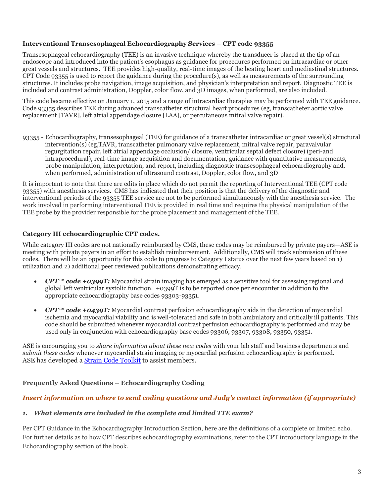#### **Interventional Transesophageal Echocardiography Services – CPT code 93355**

Transesophageal echocardiography (TEE) is an invasive technique whereby the transducer is placed at the tip of an endoscope and introduced into the patient's esophagus as guidance for procedures performed on intracardiac or other great vessels and structures. TEE provides high-quality, real-time images of the beating heart and mediastinal structures. CPT Code 93355 is used to report the guidance during the procedure(s), as well as measurements of the surrounding structures. It includes probe navigation, image acquisition, and physician's interpretation and report. Diagnostic TEE is included and contrast administration, Doppler, color flow, and 3D images, when performed, are also included.

This code became effective on January 1, 2015 and a range of intracardiac therapies may be performed with TEE guidance. Code 93355 describes TEE during advanced transcatheter structural heart procedures (eg, transcatheter aortic valve replacement [TAVR], left atrial appendage closure [LAA], or percutaneous mitral valve repair).

93355 - Echocardiography, transesophageal (TEE) for guidance of a transcatheter intracardiac or great vessel(s) structural intervention(s) (eg,TAVR, transcatheter pulmonary valve replacement, mitral valve repair, paravalvular regurgitation repair, left atrial appendage occlusion/ closure, ventricular septal defect closure) (peri-and intraprocedural), real-time image acquisition and documentation, guidance with quantitative measurements, probe manipulation, interpretation, and report, including diagnostic transesophageal echocardiography and, when performed, administration of ultrasound contrast, Doppler, color flow, and 3D

It is important to note that there are edits in place which do not permit the reporting of Interventional TEE (CPT code 93355) with anesthesia services. CMS has indicated that their position is that the delivery of the diagnostic and interventional periods of the 93355 TEE service are not to be performed simultaneously with the anesthesia service. The work involved in performing interventional TEE is provided in real time and requires the physical manipulation of the TEE probe by the provider responsible for the probe placement and management of the TEE.

#### **Category III echocardiographic CPT codes.**

While category III codes are not nationally reimbursed by CMS, these codes may be reimbursed by private payers—ASE is meeting with private payers in an effort to establish reimbursement. Additionally, CMS will track submission of these codes. There will be an opportunity for this code to progress to Category I status over the next few years based on 1) utilization and 2) additional peer reviewed publications demonstrating efficacy.

- *CPT<sup>™</sup> code +0399T:* Myocardial strain imaging has emerged as a sensitive tool for assessing regional and global left ventricular systolic function. +0399T is to be reported once per encounter in addition to the appropriate echocardiography base codes 93303-93351.
- *CPT<sup>™</sup> code +0439T:* Myocardial contrast perfusion echocardiography aids in the detection of myocardial ischemia and myocardial viability and is well-tolerated and safe in both ambulatory and critically ill patients. This code should be submitted whenever myocardial contrast perfusion echocardiography is performed and may be used only in conjunction with echocardiography base codes 93306, 93307, 93308, 93350, 93351.

ASE is encouraging you to *share information about these new codes* with your lab staff and business departments and *submit these codes* whenever myocardial strain imaging or myocardial perfusion echocardiography is performed. ASE has developed a [Strain Code Toolkit](http://asecho.org/wordpress/wp-content/uploads/2016/01/MLM-Revised-Strain-Code-1-6-16.docx) to assist members.

## **Frequently Asked Questions – Echocardiography Coding**

#### *Insert information on where to send coding questions and Judy's contact information (if appropriate)*

#### *1. What elements are included in the complete and limited TTE exam?*

Per CPT Guidance in the Echocardiography Introduction Section, here are the definitions of a complete or limited echo. For further details as to how CPT describes echocardiography examinations, refer to the CPT introductory language in the Echocardiography section of the book.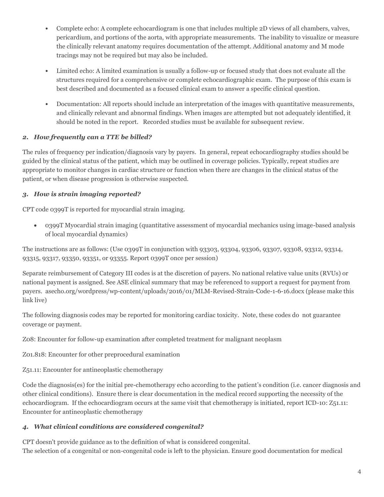- Complete echo: A complete echocardiogram is one that includes multiple 2D views of all chambers, valves, pericardium, and portions of the aorta, with appropriate measurements. The inability to visualize or measure the clinically relevant anatomy requires documentation of the attempt. Additional anatomy and M mode tracings may not be required but may also be included.
- Limited echo: A limited examination is usually a follow-up or focused study that does not evaluate all the structures required for a comprehensive or complete echocardiographic exam. The purpose of this exam is best described and documented as a focused clinical exam to answer a specific clinical question.
- Documentation: All reports should include an interpretation of the images with quantitative measurements, and clinically relevant and abnormal findings. When images are attempted but not adequately identified, it should be noted in the report. Recorded studies must be available for subsequent review.

# *2. How frequently can a TTE be billed?*

The rules of frequency per indication/diagnosis vary by payers. In general, repeat echocardiography studies should be guided by the clinical status of the patient, which may be outlined in coverage policies. Typically, repeat studies are appropriate to monitor changes in cardiac structure or function when there are changes in the clinical status of the patient, or when disease progression is otherwise suspected.

# *3. How is strain imaging reported?*

CPT code 0399T is reported for myocardial strain imaging.

• 0399T Myocardial strain imaging (quantitative assessment of myocardial mechanics using image-based analysis of local myocardial dynamics)

The instructions are as follows: (Use 0399T in conjunction with 93303, 93304, 93306, 93307, 93308, 93312, 93314, 93315, 93317, 93350, 93351, or 93355. Report 0399T once per session)

Separate reimbursement of Category III codes is at the discretion of payers. No national relative value units (RVUs) or national payment is assigned. See ASE clinical summary that may be referenced to support a request for payment from payers. asecho.org/wordpress/wp-content/uploads/2016/01/MLM-Revised-Strain-Code-1-6-16.docx (please make this link live)

The following diagnosis codes may be reported for monitoring cardiac toxicity. Note, these codes do not guarantee coverage or payment.

Z08: Encounter for follow-up examination after completed treatment for malignant neoplasm

Z01.818: Encounter for other preprocedural examination

Z51.11: Encounter for antineoplastic chemotherapy

Code the diagnosis(es) for the initial pre-chemotherapy echo according to the patient's condition (i.e. cancer diagnosis and other clinical conditions). Ensure there is clear documentation in the medical record supporting the necessity of the echocardiogram. If the echocardiogram occurs at the same visit that chemotherapy is initiated, report ICD-10: Z51.11: Encounter for antineoplastic chemotherapy

# *4. What clinical conditions are considered congenital?*

CPT doesn't provide guidance as to the definition of what is considered congenital. The selection of a congenital or non-congenital code is left to the physician. Ensure good documentation for medical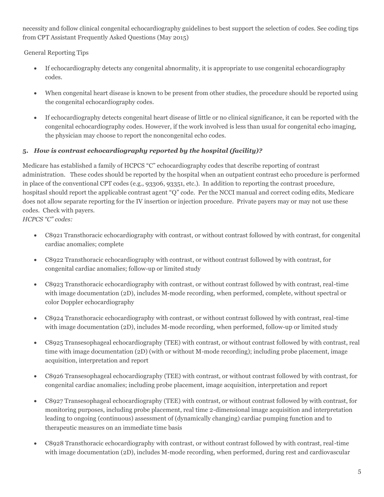necessity and follow clinical congenital echocardiography guidelines to best support the selection of codes. See coding tips from CPT Assistant Frequently Asked Questions (May 2015)

General Reporting Tips

- If echocardiography detects any congenital abnormality, it is appropriate to use congenital echocardiography codes.
- When congenital heart disease is known to be present from other studies, the procedure should be reported using the congenital echocardiography codes.
- If echocardiography detects congenital heart disease of little or no clinical significance, it can be reported with the congenital echocardiography codes. However, if the work involved is less than usual for congenital echo imaging, the physician may choose to report the noncongenital echo codes.

# **5.** *How is contrast echocardiography reported by the hospital (facility)?*

Medicare has established a family of HCPCS "C" echocardiography codes that describe reporting of contrast administration. These codes should be reported by the hospital when an outpatient contrast echo procedure is performed in place of the conventional CPT codes (e.g., 93306, 93351, etc.). In addition to reporting the contrast procedure, hospitasl should report the applicable contrast agent "Q" code. Per the NCCI manual and correct coding edits, Medicare does not allow separate reporting for the IV insertion or injection procedure. Private payers may or may not use these codes. Check with payers.

*HCPCS "C" codes:*

- C8921 Transthoracic echocardiography with contrast, or without contrast followed by with contrast, for congenital cardiac anomalies; complete
- C8922 Transthoracic echocardiography with contrast, or without contrast followed by with contrast, for congenital cardiac anomalies; follow-up or limited study
- C8923 Transthoracic echocardiography with contrast, or without contrast followed by with contrast, real-time with image documentation (2D), includes M-mode recording, when performed, complete, without spectral or color Doppler echocardiography
- C8924 Transthoracic echocardiography with contrast, or without contrast followed by with contrast, real-time with image documentation (2D), includes M-mode recording, when performed, follow-up or limited study
- C8925 Transesophageal echocardiography (TEE) with contrast, or without contrast followed by with contrast, real time with image documentation (2D) (with or without M-mode recording); including probe placement, image acquisition, interpretation and report
- C8926 Transesophageal echocardiography (TEE) with contrast, or without contrast followed by with contrast, for congenital cardiac anomalies; including probe placement, image acquisition, interpretation and report
- C8927 Transesophageal echocardiography (TEE) with contrast, or without contrast followed by with contrast, for monitoring purposes, including probe placement, real time 2-dimensional image acquisition and interpretation leading to ongoing (continuous) assessment of (dynamically changing) cardiac pumping function and to therapeutic measures on an immediate time basis
- C8928 Transthoracic echocardiography with contrast, or without contrast followed by with contrast, real-time with image documentation (2D), includes M-mode recording, when performed, during rest and cardiovascular